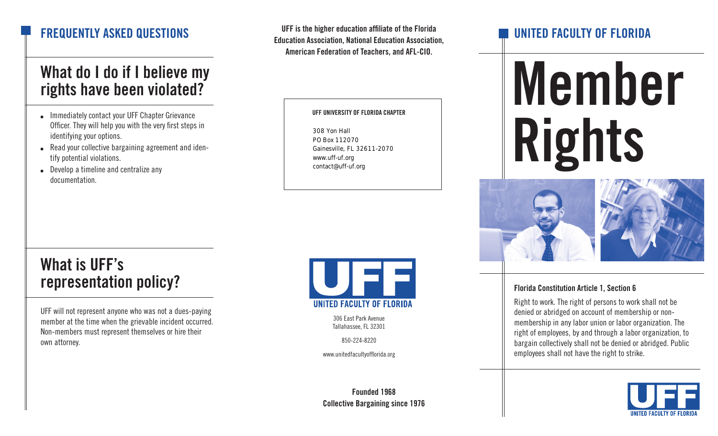### What do I do if I believe my rights have been violated?

- Immediately contact your UFF Chapter Grievance Officer. They will help you with the very first steps in identifying your options.
- Read your collective bargaining agreement and identify potential violations.
- Develop a timeline and centralize any documentation.

UFF is the higher education affiliate of the Florida Education Association, National Education Association, American Federation of Teachers, and AFL-CIO. **FREQUENTLY ASKED QUESTIONS** 

UFF UNIVERSITY OF FLORIDA CHAPTER

308 Yon Hall PO Box 112070 Gainesville, FL 32611-2070 www.uff-uf.org contact@uff-uf.org

# Member Rights



#### Florida Constitution Article 1, Section 6

Right to work. The right of persons to work shall not be denied or abridged on account of membership or nonmembership in any labor union or labor organization. The right of employees, by and through a labor organization, to bargain collectively shall not be denied or abridged. Public employees shall not have the right to strike.



## What is UFF's representation policy?

UFF will not represent anyone who was not a dues-paying member at the time when the grievable incident occurred. Non-members must represent themselves or hire their own attorney.



306 East Park Avenue Tallahassee, FL 32301

850-224-8220

www.unitedfacultyofflorida.org

Founded 1968 Collective Bargaining since 1976